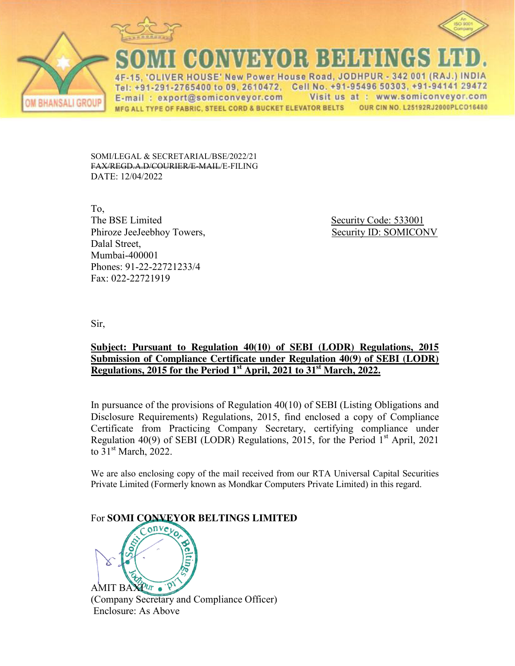



**ANSALI GROU** 

QONN3}70}; BJ3141

'OLIVER HOUSE' New Power House Road, JODHPUR - 342 001 (RAJ.) INDIA Tel: +91-291-2765400 to 09, 2610472, Cell No. +91-95496 50303, +91-94141 29472 Visit us at : www.somiconveyor.com E-mail: export@somiconveyor.com OUR CIN NO. L25192RJ2000PLCO16480 MFG ALL TYPE OF FABRIC, STEEL CORD & BUCKET ELEVATOR BELTS

SOMI/LEGAL & SECRETARIAL/BSE/2022/21 FAX/REGD.A.D/COURIER/E-MAIL/E-FILING DATE: 12/04/2022

To, The BSE Limited Security Code: 533001 Phiroze JeeJeebhoy Towers, Security ID: SOMICONV Dalal Street, Mumbai-400001 Phones: 91-22-22721233/4 Fax: 022-22721919

Sir,

## **Subject: Pursuant to Regulation 40(10) of SEBI (LODR) Regulations, 2015 Submission of Compliance Certificate under Regulation 40(9) of SEBI (LODR) Regulations, 2015 for the Period 1st April, 2021 to 31st March, 2022.**

In pursuance of the provisions of Regulation 40(10) of SEBI (Listing Obligations and Disclosure Requirements) Regulations, 2015, find enclosed a copy of Compliance Certificate from Practicing Company Secretary, certifying compliance under Regulation 40(9) of SEBI (LODR) Regulations, 2015, for the Period  $1<sup>st</sup>$  April, 2021 to  $31<sup>st</sup>$  March, 2022.

We are also enclosing copy of the mail received from our RTA Universal Capital Securities Private Limited (Formerly known as Mondkar Computers Private Limited) in this regard.

For **SOMI CONVEYOR BELTINGS LIMITED** AMIT BAXPUT . P

(Company Secretary and Compliance Officer) Enclosure: As Above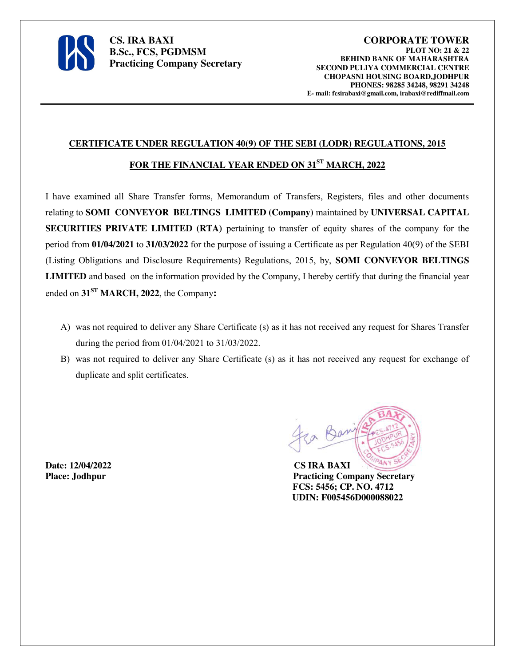

**CS. IRA BAXI B.Sc., FCS, PGDMSM Practicing Company Secretary** 

## **CERTIFICATE UNDER REGULATION 40(9) OF THE SEBI (LODR) REGULATIONS, 2015**

## **FOR THE FINANCIAL YEAR ENDED ON 31ST MARCH, 2022**

I have examined all Share Transfer forms, Memorandum of Transfers, Registers, files and other documents relating to **SOMI CONVEYOR BELTINGS LIMITED (Company)** maintained by **UNIVERSAL CAPITAL SECURITIES PRIVATE LIMITED (RTA)** pertaining to transfer of equity shares of the company for the period from **01/04/2021** to **31/03/2022** for the purpose of issuing a Certificate as per Regulation 40(9) of the SEBI (Listing Obligations and Disclosure Requirements) Regulations, 2015, by, **SOMI CONVEYOR BELTINGS LIMITED** and based on the information provided by the Company, I hereby certify that during the financial year ended on **31ST MARCH, 2022**, the Company**:**

- A) was not required to deliver any Share Certificate (s) as it has not received any request for Shares Transfer during the period from 01/04/2021 to 31/03/2022.
- B) was not required to deliver any Share Certificate (s) as it has not received any request for exchange of duplicate and split certificates.

**Date: 12/04/2022 CS IRA BAXI**

Place: Jodhpur **Practicing Company Secretary FCS: 5456; CP. NO. 4712 UDIN: F005456D000088022**